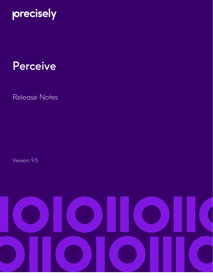

# Perceive

Release Notes

Version: 9.5

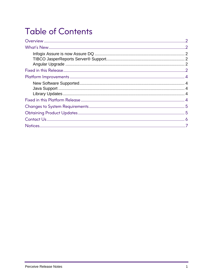# **Table of Contents**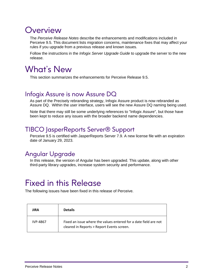### <span id="page-2-0"></span>Overview

The *Perceive Release Notes* describe the enhancements and modifications included in Perceive 9.5. This document lists migration concerns, maintenance fixes that may affect your rules if you upgrade from a previous release and known issues.

Follow the instructions in the *Infogix Server Upgrade Guide* to upgrade the server to the new release.

### <span id="page-2-1"></span>What's New

This section summarizes the enhancements for Perceive Release 9.5.

#### <span id="page-2-2"></span>Infogix Assure is now Assure DQ

As part of the Precisely rebranding strategy, Infogix Assure product is now rebranded as Assure DQ. Within the user interface, users will see the new Assure DQ naming being used.

Note that there may still be some underlying references to "Infogix Assure", but those have been kept to reduce any issues with the broader backend name dependencies.

#### <span id="page-2-3"></span>TIBCO JasperReports Server® Support

Perceive 9.5 is certified with JasperReports Server 7.9. A new license file with an expiration date of January 29, 2023.

#### <span id="page-2-4"></span>Angular Upgrade

In this release, the version of Angular has been upgraded. This update, along with other third-party library upgrades, increase system security and performance.

### <span id="page-2-5"></span>Fixed in this Release

The following issues have been fixed in this release of Perceive.

| JIRA            | <b>Details</b>                                                                                                 |
|-----------------|----------------------------------------------------------------------------------------------------------------|
| <b>IVP-4867</b> | Fixed an issue where the values entered for a date field are not<br>cleared in Reports > Report Events screen. |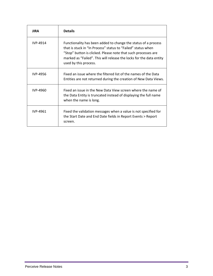| <b>JIRA</b> | <b>Details</b>                                                                                                                                                                                                                                                                                  |
|-------------|-------------------------------------------------------------------------------------------------------------------------------------------------------------------------------------------------------------------------------------------------------------------------------------------------|
| IVP-4914    | Functionality has been added to change the status of a process<br>that is stuck in "In Process" status to "Failed" status when<br>"Stop" button is clicked. Please note that such processes are<br>marked as "Failed". This will release the locks for the data entity<br>used by this process. |
| IVP-4956    | Fixed an issue where the filtered list of the names of the Data<br>Entities are not returned during the creation of New Data Views.                                                                                                                                                             |
| IVP-4960    | Fixed an issue in the New Data View screen where the name of<br>the Data Entity is truncated instead of displaying the full name<br>when the name is long.                                                                                                                                      |
| IVP-4961    | Fixed the validation messages when a value is not specified for<br>the Start Date and End Date fields in Report Events > Report<br>screen.                                                                                                                                                      |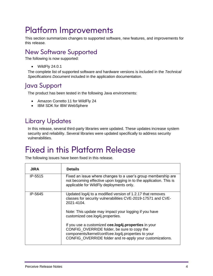### <span id="page-4-0"></span>Platform Improvements

This section summarizes changes to supported software, new features, and improvements for this release.

#### <span id="page-4-1"></span>New Software Supported

The following is now supported:

• WildFly 24.0.1

The complete list of supported software and hardware versions is included in the *Technical Specifications Document* included in the application documentation.

#### <span id="page-4-2"></span>Java Support

The product has been tested in the following Java environments:

- Amazon Corretto 11 for WildFly 24
- IBM SDK for IBM WebSphere

#### <span id="page-4-3"></span>Library Updates

In this release, several third-party libraries were updated. These updates increase system security and reliability. Several libraries were updated specifically to address security vulnerabilities.

### <span id="page-4-4"></span>Fixed in this Platform Release

The following issues have been fixed in this release.

| <b>JIRA</b> | <b>Details</b>                                                                                                                                                                                                         |
|-------------|------------------------------------------------------------------------------------------------------------------------------------------------------------------------------------------------------------------------|
| IP-5515     | Fixed an issue where changes to a user's group membership are<br>not becoming effective upon logging in to the application. This is<br>applicable for WildFly deployments only.                                        |
| IP-5645     | Updated log4j to a modified version of 1.2.17 that removes<br>classes for security vulnerabilities CVE-2019-17571 and CVE-<br>2021-4104                                                                                |
|             | Note: This update may impact your logging if you have<br>customized cee.log4j.properties.                                                                                                                              |
|             | If you use a customized cee.log4j.properties in your<br>CONFIG_OVERRIDE folder, be sure to copy the<br>components/kernel/conf/cee.log4j.properties to your<br>CONFIG_OVERRIDE folder and re-apply your customizations. |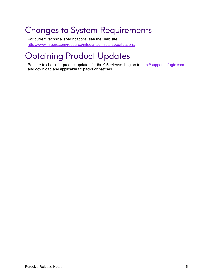## <span id="page-5-0"></span>Changes to System Requirements

For current technical specifications, see the Web site: [http://www.infogix.com/resource/infogix-technical-specifications](http://www.infogix.com/resource/infogix-technical-specifications/)

# <span id="page-5-1"></span>Obtaining Product Updates

Be sure to check for product updates for the 9.5 release. Log on to [http://support.infogix.com](http://support.infogix.com/) and download any applicable fix packs or patches.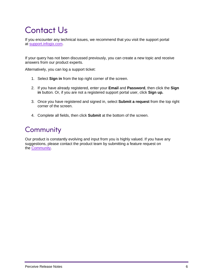# <span id="page-6-0"></span>Contact Us

If you encounter any technical issues, we recommend that you visit the support portal at [support.infogix.com.](https://support.infogix.com/hc/en-us)

If your query has not been discussed previously, you can create a new topic and receive answers from our product experts.

Alternatively, you can log a support ticket:

- 1. Select **Sign in** from the top right corner of the screen.
- 2. If you have already registered, enter your **Email** and **Password**, then click the **Sign in** button. Or, if you are not a registered support portal user, click **Sign up.**
- 3. Once you have registered and signed in, select **Submit a request** from the top right corner of the screen.
- 4. Complete all fields, then click **Submit** at the bottom of the screen.

#### **Community**

Our product is constantly evolving and input from you is highly valued. If you have any suggestions, please contact the product team by submitting a feature request on the [Community.](https://support.infogix.com/hc/en-us/community/topics)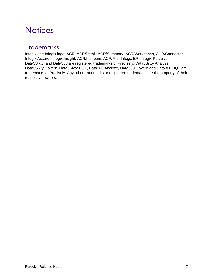### <span id="page-7-0"></span>**Notices**

#### **Trademarks**

Infogix, the Infogix logo, ACR, ACR/Detail, ACR/Summary, ACR/Workbench, ACR/Connector, Infogix Assure, Infogix Insight, ACR/Instream, ACR/File, Infogix ER, Infogix Perceive, Data3Sixty, and Data360 are registered trademarks of Precisely. Data3Sixty Analyze, Data3Sixty Govern, Data3Sixty DQ+, Data360 Analyze, Data360 Govern and Data360 DQ+ are trademarks of Precisely. Any other trademarks or registered trademarks are the property of their respective owners.